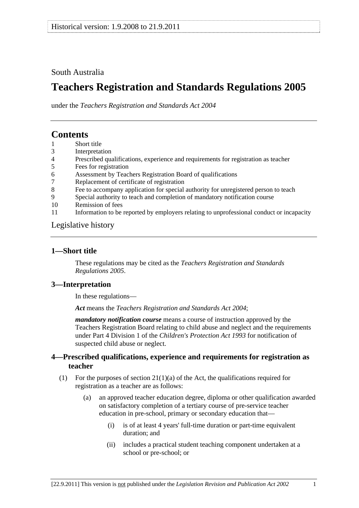## <span id="page-0-0"></span>South Australia

# **Teachers Registration and Standards Regulations 2005**

under the *Teachers Registration and Standards Act 2004*

## **Contents**

- [1 Short title](#page-0-0)
- [3 Interpretation](#page-0-0)
- [4 Prescribed qualifications, experience and requirements for registration as teacher](#page-0-0)
- [5 Fees for registration](#page-1-0)
- [6 Assessment by Teachers Registration Board of qualifications](#page-2-0)
- [7 Replacement of certificate of registration](#page-2-0)
- [8 Fee to accompany application for special authority for unregistered person to teach](#page-2-0)
- [9 Special authority to teach and completion of mandatory notification course](#page-2-0)
- [10 Remission of fees](#page-3-0)
- [11 Information to be reported by employers relating to unprofessional conduct or incapacity](#page-3-0)

#### [Legislative history](#page-4-0)

#### **1—Short title**

These regulations may be cited as the *Teachers Registration and Standards Regulations 2005*.

#### **3—Interpretation**

In these regulations—

*Act* means the *[Teachers Registration and Standards Act 2004](http://www.legislation.sa.gov.au/index.aspx?action=legref&type=act&legtitle=Teachers%20Registration%20and%20Standards%20Act%202004)*;

*mandatory notification course* means a course of instruction approved by the Teachers Registration Board relating to child abuse and neglect and the requirements under Part 4 Division 1 of the *[Children's Protection Act 1993](http://www.legislation.sa.gov.au/index.aspx?action=legref&type=act&legtitle=Childrens%20Protection%20Act%201993)* for notification of suspected child abuse or neglect.

#### **4—Prescribed qualifications, experience and requirements for registration as teacher**

- (1) For the purposes of section  $21(1)(a)$  of the Act, the qualifications required for registration as a teacher are as follows:
	- (a) an approved teacher education degree, diploma or other qualification awarded on satisfactory completion of a tertiary course of pre-service teacher education in pre-school, primary or secondary education that—
		- (i) is of at least 4 years' full-time duration or part-time equivalent duration; and
		- (ii) includes a practical student teaching component undertaken at a school or pre-school; or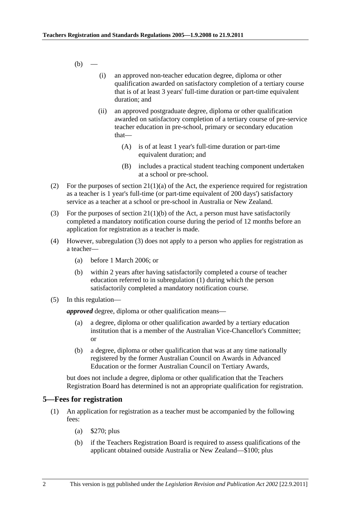<span id="page-1-0"></span> $(b)$  —

- (i) an approved non-teacher education degree, diploma or other qualification awarded on satisfactory completion of a tertiary course that is of at least 3 years' full-time duration or part-time equivalent duration; and
- (ii) an approved postgraduate degree, diploma or other qualification awarded on satisfactory completion of a tertiary course of pre-service teacher education in pre-school, primary or secondary education that—
	- (A) is of at least 1 year's full-time duration or part-time equivalent duration; and
	- (B) includes a practical student teaching component undertaken at a school or pre-school.
- (2) For the purposes of section  $21(1)(a)$  of the Act, the experience required for registration as a teacher is 1 year's full-time (or part-time equivalent of 200 days') satisfactory service as a teacher at a school or pre-school in Australia or New Zealand.
- (3) For the purposes of section  $21(1)(b)$  of the Act, a person must have satisfactorily completed a mandatory notification course during the period of 12 months before an application for registration as a teacher is made.
- (4) However, [subregulation \(3\)](#page-1-0) does not apply to a person who applies for registration as a teacher—
	- (a) before 1 March 2006; or
	- (b) within 2 years after having satisfactorily completed a course of teacher education referred to in [subregulation \(1\)](#page-0-0) during which the person satisfactorily completed a mandatory notification course.
- (5) In this regulation—

*approved* degree, diploma or other qualification means—

- (a) a degree, diploma or other qualification awarded by a tertiary education institution that is a member of the Australian Vice-Chancellor's Committee; or
- (b) a degree, diploma or other qualification that was at any time nationally registered by the former Australian Council on Awards in Advanced Education or the former Australian Council on Tertiary Awards,

but does not include a degree, diploma or other qualification that the Teachers Registration Board has determined is not an appropriate qualification for registration.

#### **5—Fees for registration**

- (1) An application for registration as a teacher must be accompanied by the following fees:
	- (a) \$270; plus
	- (b) if the Teachers Registration Board is required to assess qualifications of the applicant obtained outside Australia or New Zealand—\$100; plus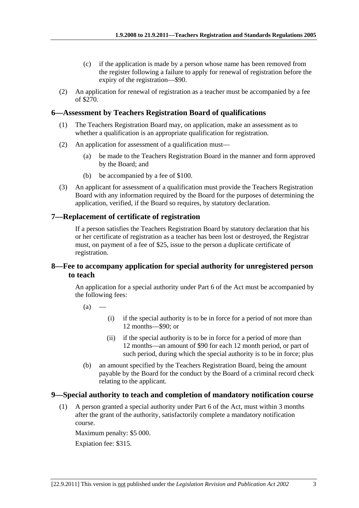- <span id="page-2-0"></span> (c) if the application is made by a person whose name has been removed from the register following a failure to apply for renewal of registration before the expiry of the registration—\$90.
- (2) An application for renewal of registration as a teacher must be accompanied by a fee of \$270.

### **6—Assessment by Teachers Registration Board of qualifications**

- (1) The Teachers Registration Board may, on application, make an assessment as to whether a qualification is an appropriate qualification for registration.
- (2) An application for assessment of a qualification must—
	- (a) be made to the Teachers Registration Board in the manner and form approved by the Board; and
	- (b) be accompanied by a fee of \$100.
- (3) An applicant for assessment of a qualification must provide the Teachers Registration Board with any information required by the Board for the purposes of determining the application, verified, if the Board so requires, by statutory declaration.

### **7—Replacement of certificate of registration**

If a person satisfies the Teachers Registration Board by statutory declaration that his or her certificate of registration as a teacher has been lost or destroyed, the Registrar must, on payment of a fee of \$25, issue to the person a duplicate certificate of registration.

### **8—Fee to accompany application for special authority for unregistered person to teach**

An application for a special authority under Part 6 of the Act must be accompanied by the following fees:

- $(a)$
- (i) if the special authority is to be in force for a period of not more than 12 months—\$90; or
- (ii) if the special authority is to be in force for a period of more than 12 months—an amount of \$90 for each 12 month period, or part of such period, during which the special authority is to be in force; plus
- (b) an amount specified by the Teachers Registration Board, being the amount payable by the Board for the conduct by the Board of a criminal record check relating to the applicant.

#### **9—Special authority to teach and completion of mandatory notification course**

 (1) A person granted a special authority under Part 6 of the Act, must within 3 months after the grant of the authority, satisfactorily complete a mandatory notification course.

Maximum penalty: \$5 000. Expiation fee: \$315.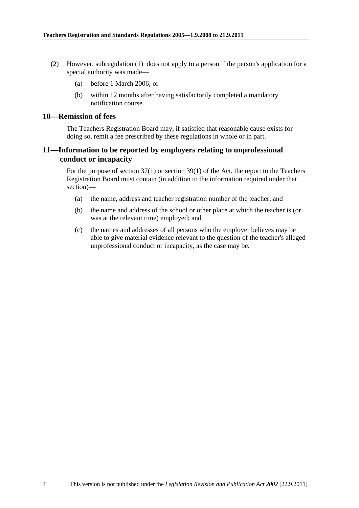- <span id="page-3-0"></span> (2) However, [subregulation \(1\)](#page-2-0) does not apply to a person if the person's application for a special authority was made—
	- (a) before 1 March 2006; or
	- (b) within 12 months after having satisfactorily completed a mandatory notification course.

#### **10—Remission of fees**

The Teachers Registration Board may, if satisfied that reasonable cause exists for doing so, remit a fee prescribed by these regulations in whole or in part.

#### **11—Information to be reported by employers relating to unprofessional conduct or incapacity**

For the purpose of section 37(1) or section 39(1) of the Act, the report to the Teachers Registration Board must contain (in addition to the information required under that section)—

- (a) the name, address and teacher registration number of the teacher; and
- (b) the name and address of the school or other place at which the teacher is (or was at the relevant time) employed; and
- (c) the names and addresses of all persons who the employer believes may be able to give material evidence relevant to the question of the teacher's alleged unprofessional conduct or incapacity, as the case may be.